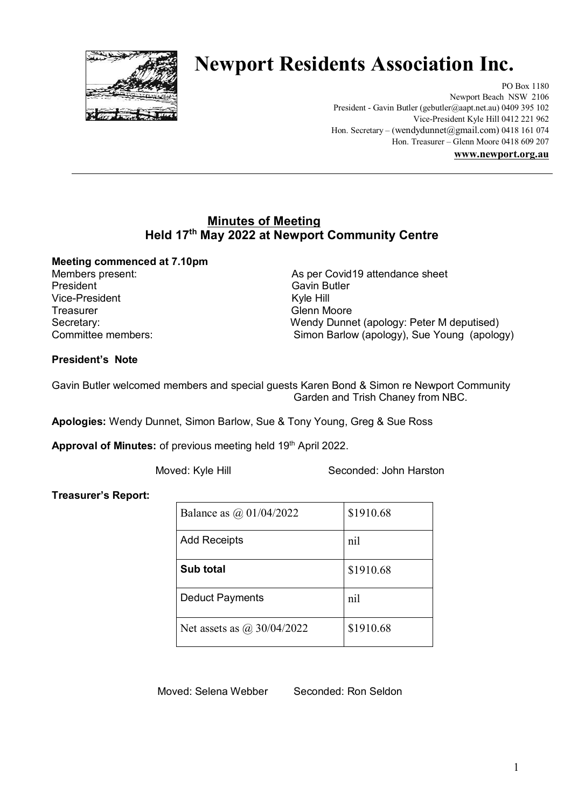

# **Newport Residents Association Inc.**

PO Box 1180 Newport Beach NSW 2106 President - Gavin Butler (gebutler@aapt.net.au) 0409 395 102 Vice-President Kyle Hill 0412 221 962 Hon. Secretary – (wendydunnet@gmail.com) 0418 161 074 Hon. Treasurer – Glenn Moore 0418 609 207

#### **www.newport.org.au**

## **Minutes of Meeting Held 17th May 2022 at Newport Community Centre**

#### **Meeting commenced at 7.10pm**

President Gavin Butler Vice-President **Kyle Hill** Treasurer Communication Clean Moore

Members present: As per Covid19 attendance sheet Secretary: Wendy Dunnet (apology: Peter M deputised) Committee members: Simon Barlow (apology), Sue Young (apology)

### **President's Note**

Gavin Butler welcomed members and special guests Karen Bond & Simon re Newport Community Garden and Trish Chaney from NBC.

**Apologies:** Wendy Dunnet, Simon Barlow, Sue & Tony Young, Greg & Sue Ross

Approval of Minutes: of previous meeting held 19<sup>th</sup> April 2022.

Moved: Kyle Hill Seconded: John Harston

#### **Treasurer's Report:**

| Balance as $\omega$ 01/04/2022    | \$1910.68 |
|-----------------------------------|-----------|
| <b>Add Receipts</b>               | nil       |
| Sub total                         | \$1910.68 |
| <b>Deduct Payments</b>            | nil       |
| Net assets as $\omega$ 30/04/2022 | \$1910.68 |

Moved: Selena Webber Seconded: Ron Seldon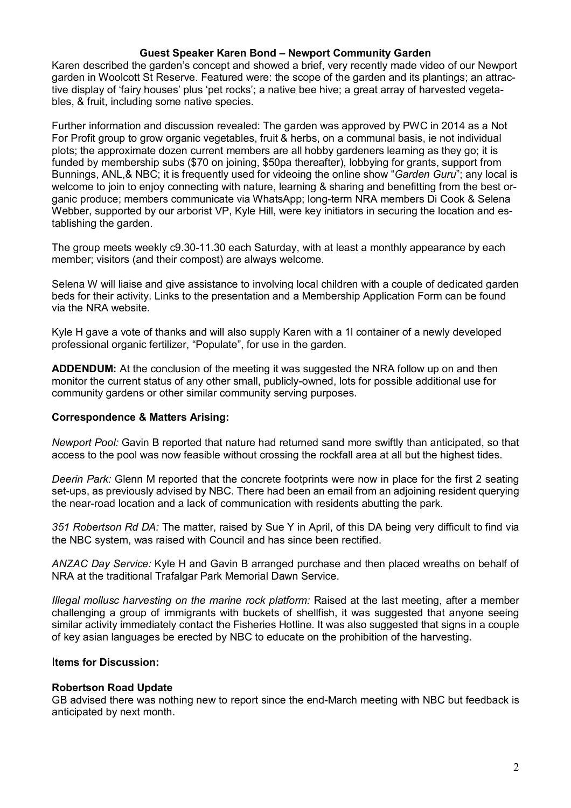#### **Guest Speaker Karen Bond – Newport Community Garden**

Karen described the garden's concept and showed a brief, very recently made video of our Newport garden in Woolcott St Reserve. Featured were: the scope of the garden and its plantings; an attractive display of 'fairy houses' plus 'pet rocks'; a native bee hive; a great array of harvested vegetables, & fruit, including some native species.

Further information and discussion revealed: The garden was approved by PWC in 2014 as a Not For Profit group to grow organic vegetables, fruit & herbs, on a communal basis, ie not individual plots; the approximate dozen current members are all hobby gardeners learning as they go; it is funded by membership subs (\$70 on joining, \$50pa thereafter), lobbying for grants, support from Bunnings, ANL,& NBC; it is frequently used for videoing the online show "*Garden Guru*"; any local is welcome to join to enjoy connecting with nature, learning & sharing and benefitting from the best organic produce; members communicate via WhatsApp; long-term NRA members Di Cook & Selena Webber, supported by our arborist VP, Kyle Hill, were key initiators in securing the location and establishing the garden.

The group meets weekly c9.30-11.30 each Saturday, with at least a monthly appearance by each member; visitors (and their compost) are always welcome.

Selena W will liaise and give assistance to involving local children with a couple of dedicated garden beds for their activity. Links to the presentation and a Membership Application Form can be found via the NRA website.

Kyle H gave a vote of thanks and will also supply Karen with a 1l container of a newly developed professional organic fertilizer, "Populate", for use in the garden.

**ADDENDUM:** At the conclusion of the meeting it was suggested the NRA follow up on and then monitor the current status of any other small, publicly-owned, lots for possible additional use for community gardens or other similar community serving purposes.

#### **Correspondence & Matters Arising:**

*Newport Pool:* Gavin B reported that nature had returned sand more swiftly than anticipated, so that access to the pool was now feasible without crossing the rockfall area at all but the highest tides.

*Deerin Park:* Glenn M reported that the concrete footprints were now in place for the first 2 seating set-ups, as previously advised by NBC. There had been an email from an adjoining resident querying the near-road location and a lack of communication with residents abutting the park.

*351 Robertson Rd DA:* The matter, raised by Sue Y in April, of this DA being very difficult to find via the NBC system, was raised with Council and has since been rectified.

*ANZAC Day Service:* Kyle H and Gavin B arranged purchase and then placed wreaths on behalf of NRA at the traditional Trafalgar Park Memorial Dawn Service.

*Illegal mollusc harvesting on the marine rock platform:* Raised at the last meeting, after a member challenging a group of immigrants with buckets of shellfish, it was suggested that anyone seeing similar activity immediately contact the Fisheries Hotline. It was also suggested that signs in a couple of key asian languages be erected by NBC to educate on the prohibition of the harvesting.

#### I**tems for Discussion:**

#### **Robertson Road Update**

GB advised there was nothing new to report since the end-March meeting with NBC but feedback is anticipated by next month.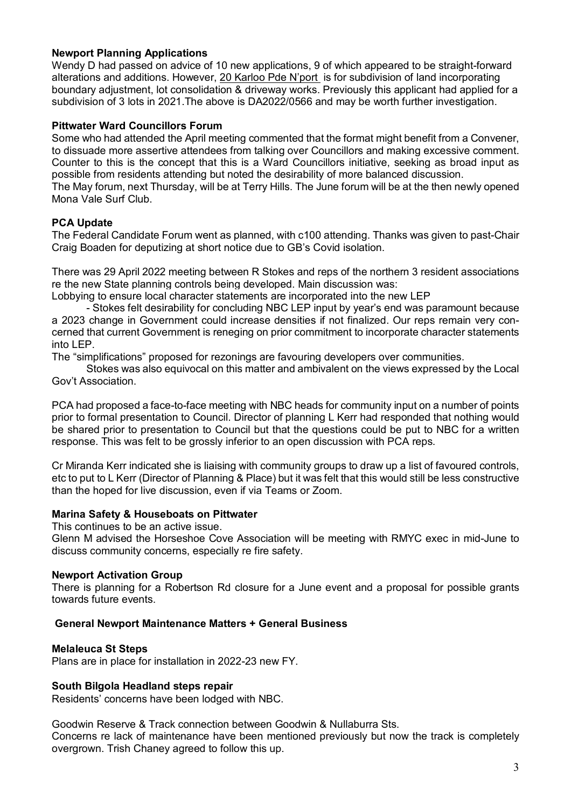#### **Newport Planning Applications**

Wendy D had passed on advice of 10 new applications, 9 of which appeared to be straight-forward alterations and additions. However, 20 Karloo Pde N'port is for subdivision of land incorporating boundary adjustment, lot consolidation & driveway works. Previously this applicant had applied for a subdivision of 3 lots in 2021.The above is DA2022/0566 and may be worth further investigation.

#### **Pittwater Ward Councillors Forum**

Some who had attended the April meeting commented that the format might benefit from a Convener, to dissuade more assertive attendees from talking over Councillors and making excessive comment. Counter to this is the concept that this is a Ward Councillors initiative, seeking as broad input as possible from residents attending but noted the desirability of more balanced discussion. The May forum, next Thursday, will be at Terry Hills. The June forum will be at the then newly opened Mona Vale Surf Club.

#### **PCA Update**

The Federal Candidate Forum went as planned, with c100 attending. Thanks was given to past-Chair Craig Boaden for deputizing at short notice due to GB's Covid isolation.

There was 29 April 2022 meeting between R Stokes and reps of the northern 3 resident associations re the new State planning controls being developed. Main discussion was:

Lobbying to ensure local character statements are incorporated into the new LEP

- Stokes felt desirability for concluding NBC LEP input by year's end was paramount because a 2023 change in Government could increase densities if not finalized. Our reps remain very concerned that current Government is reneging on prior commitment to incorporate character statements into LEP.

The "simplifications" proposed for rezonings are favouring developers over communities.

Stokes was also equivocal on this matter and ambivalent on the views expressed by the Local Gov't Association.

PCA had proposed a face-to-face meeting with NBC heads for community input on a number of points prior to formal presentation to Council. Director of planning L Kerr had responded that nothing would be shared prior to presentation to Council but that the questions could be put to NBC for a written response. This was felt to be grossly inferior to an open discussion with PCA reps.

Cr Miranda Kerr indicated she is liaising with community groups to draw up a list of favoured controls, etc to put to L Kerr (Director of Planning & Place) but it was felt that this would still be less constructive than the hoped for live discussion, even if via Teams or Zoom.

#### **Marina Safety & Houseboats on Pittwater**

This continues to be an active issue.

Glenn M advised the Horseshoe Cove Association will be meeting with RMYC exec in mid-June to discuss community concerns, especially re fire safety.

#### **Newport Activation Group**

There is planning for a Robertson Rd closure for a June event and a proposal for possible grants towards future events.

#### **General Newport Maintenance Matters + General Business**

#### **Melaleuca St Steps**

Plans are in place for installation in 2022-23 new FY.

#### **South Bilgola Headland steps repair**

Residents' concerns have been lodged with NBC.

Goodwin Reserve & Track connection between Goodwin & Nullaburra Sts.

Concerns re lack of maintenance have been mentioned previously but now the track is completely overgrown. Trish Chaney agreed to follow this up.